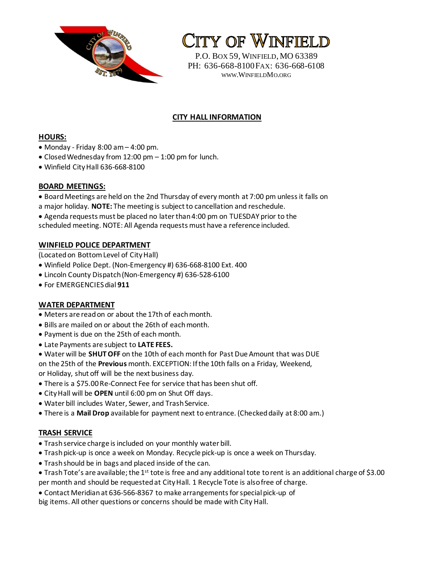

**CITY OF WINFIELD** 

P.O. BOX 59,WINFIELD, MO 63389 PH: 636-668-8100FAX: 636-668-6108 WWW.WINFIELDMO.ORG

# **CITY HALL INFORMATION**

### **HOURS:**

- Monday Friday  $8:00$  am  $-$  4:00 pm.
- Closed Wednesday from 12:00 pm 1:00 pm for lunch.
- Winfield City Hall 636-668-8100

### **BOARD MEETINGS:**

- Board Meetings are held on the 2nd Thursday of every month at 7:00 pm unless it falls on
- a major holiday. **NOTE:** The meeting is subject to cancellation and reschedule.
- Agenda requests must be placed no later than 4:00 pm on TUESDAY prior to the

scheduled meeting. NOTE: All Agenda requests must have a reference included.

## **WINFIELD POLICE DEPARTMENT**

(Located on Bottom Level of City Hall)

- Winfield Police Dept. (Non-Emergency #) 636-668-8100 Ext. 400
- Lincoln County Dispatch (Non-Emergency #) 636-528-6100
- For EMERGENCIES dial **911**

#### **WATER DEPARTMENT**

- Meters are read on or about the 17th of each month.
- Bills are mailed on or about the 26th of each month.
- Payment is due on the 25th of each month.
- Late Payments are subject to **LATE FEES.**
- Water will be **SHUT OFF** on the 10th of each month for Past Due Amount that was DUE on the 25th of the **Previous** month. EXCEPTION: If the 10th falls on a Friday, Weekend, or Holiday, shut off will be the next business day.
- There is a \$75.00 Re-Connect Fee for service that has been shut off.
- City Hall will be **OPEN** until 6:00 pm on Shut Off days.
- Water bill includes Water, Sewer, and Trash Service.
- There is a **Mail Drop** available for payment next to entrance. (Checked daily at 8:00 am.)

## **TRASH SERVICE**

- Trash service charge is included on your monthly water bill.
- Trash pick-up is once a week on Monday. Recycle pick-up is once a week on Thursday.
- Trash should be in bags and placed inside of the can.
- Trash Tote's are available; the 1<sup>st</sup> tote is free and any additional tote to rent is an additional charge of \$3.00 per month and should be requested at City Hall. 1 Recycle Tote is also free of charge.
- Contact Meridian at 636-566-8367 to make arrangements for special pick-up of

big items. All other questions or concerns should be made with City Hall.